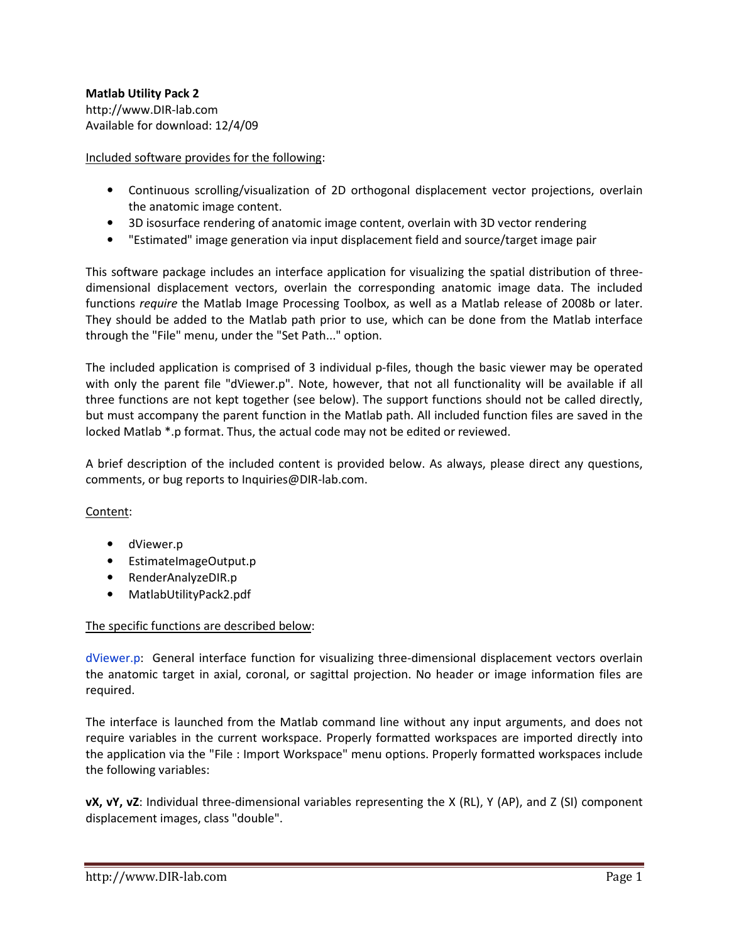# Matlab Utility Pack 2 http://www.DIR-lab.com Available for download: 12/4/09

# Included software provides for the following:

- Continuous scrolling/visualization of 2D orthogonal displacement vector projections, overlain the anatomic image content.
- 3D isosurface rendering of anatomic image content, overlain with 3D vector rendering
- "Estimated" image generation via input displacement field and source/target image pair

This software package includes an interface application for visualizing the spatial distribution of threedimensional displacement vectors, overlain the corresponding anatomic image data. The included functions require the Matlab Image Processing Toolbox, as well as a Matlab release of 2008b or later. They should be added to the Matlab path prior to use, which can be done from the Matlab interface through the "File" menu, under the "Set Path..." option.

The included application is comprised of 3 individual p-files, though the basic viewer may be operated with only the parent file "dViewer.p". Note, however, that not all functionality will be available if all three functions are not kept together (see below). The support functions should not be called directly, but must accompany the parent function in the Matlab path. All included function files are saved in the locked Matlab \*.p format. Thus, the actual code may not be edited or reviewed.

A brief description of the included content is provided below. As always, please direct any questions, comments, or bug reports to Inquiries@DIR-lab.com.

## Content:

- dViewer.p
- EstimateImageOutput.p
- RenderAnalyzeDIR.p
- MatlabUtilityPack2.pdf

## The specific functions are described below:

dViewer.p: General interface function for visualizing three-dimensional displacement vectors overlain the anatomic target in axial, coronal, or sagittal projection. No header or image information files are required.

The interface is launched from the Matlab command line without any input arguments, and does not require variables in the current workspace. Properly formatted workspaces are imported directly into the application via the "File : Import Workspace" menu options. Properly formatted workspaces include the following variables:

vX, vY, vZ: Individual three-dimensional variables representing the X (RL), Y (AP), and Z (SI) component displacement images, class "double".